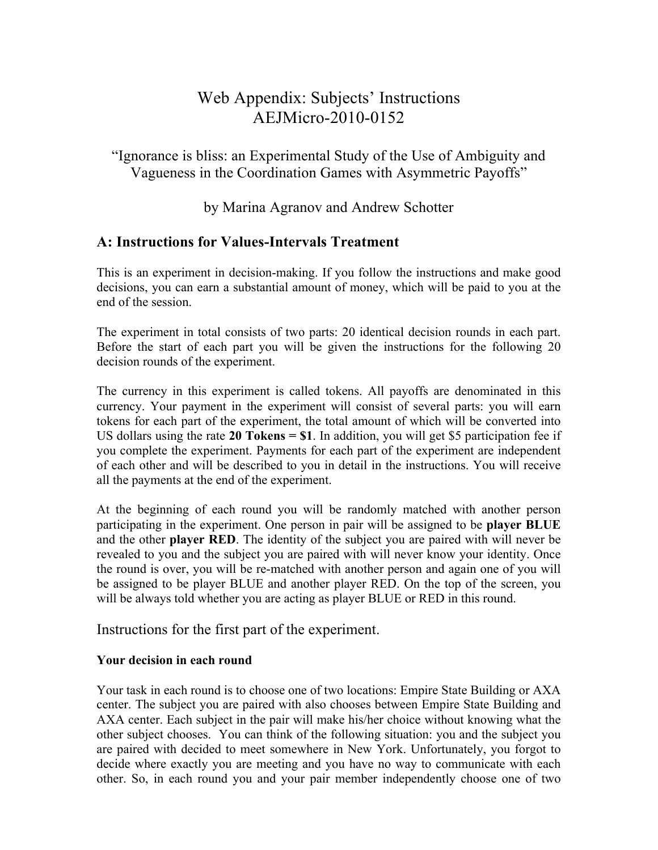# Web Appendix: Subjects' Instructions AEJMicro-2010-0152

"Ignorance is bliss: an Experimental Study of the Use of Ambiguity and Vagueness in the Coordination Games with Asymmetric Payoffs"

by Marina Agranov and Andrew Schotter

## **A: Instructions for Values-Intervals Treatment**

This is an experiment in decision-making. If you follow the instructions and make good decisions, you can earn a substantial amount of money, which will be paid to you at the end of the session.

The experiment in total consists of two parts: 20 identical decision rounds in each part. Before the start of each part you will be given the instructions for the following 20 decision rounds of the experiment.

The currency in this experiment is called tokens. All payoffs are denominated in this currency. Your payment in the experiment will consist of several parts: you will earn tokens for each part of the experiment, the total amount of which will be converted into US dollars using the rate **20 Tokens = \$1**. In addition, you will get \$5 participation fee if you complete the experiment. Payments for each part of the experiment are independent of each other and will be described to you in detail in the instructions. You will receive all the payments at the end of the experiment.

At the beginning of each round you will be randomly matched with another person participating in the experiment. One person in pair will be assigned to be **player BLUE** and the other **player RED**. The identity of the subject you are paired with will never be revealed to you and the subject you are paired with will never know your identity. Once the round is over, you will be re-matched with another person and again one of you will be assigned to be player BLUE and another player RED. On the top of the screen, you will be always told whether you are acting as player BLUE or RED in this round.

Instructions for the first part of the experiment.

## **Your decision in each round**

Your task in each round is to choose one of two locations: Empire State Building or AXA center. The subject you are paired with also chooses between Empire State Building and AXA center. Each subject in the pair will make his/her choice without knowing what the other subject chooses. You can think of the following situation: you and the subject you are paired with decided to meet somewhere in New York. Unfortunately, you forgot to decide where exactly you are meeting and you have no way to communicate with each other. So, in each round you and your pair member independently choose one of two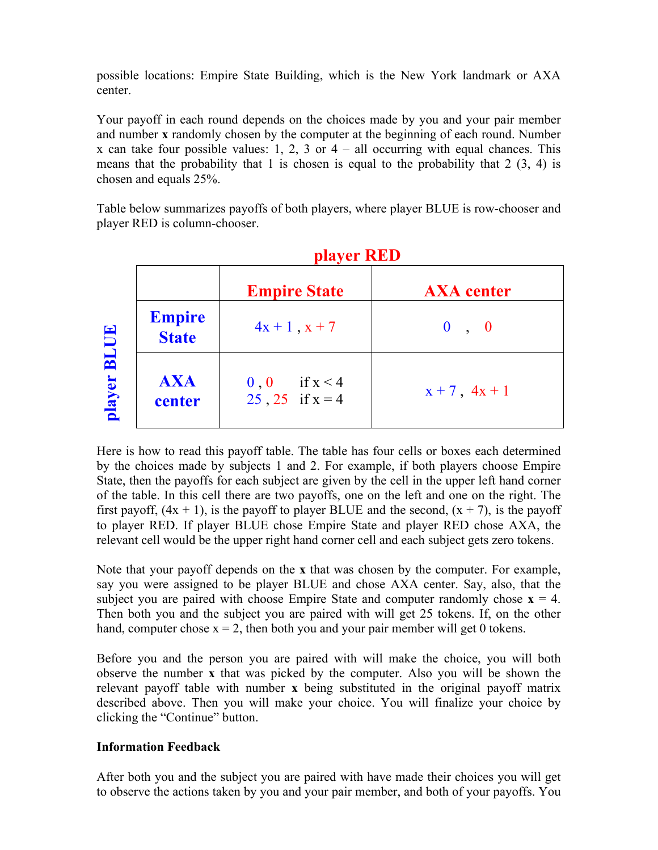possible locations: Empire State Building, which is the New York landmark or AXA center.

Your payoff in each round depends on the choices made by you and your pair member and number **x** randomly chosen by the computer at the beginning of each round. Number x can take four possible values: 1, 2, 3 or  $4 -$  all occurring with equal chances. This means that the probability that 1 is chosen is equal to the probability that  $2(3, 4)$  is chosen and equals 25%.

Table below summarizes payoffs of both players, where player BLUE is row-chooser and player RED is column-chooser.

 **player RED**

|                       |                               | <b>player RED</b>                         |                    |  |
|-----------------------|-------------------------------|-------------------------------------------|--------------------|--|
|                       |                               | <b>Empire State</b>                       | <b>AXA</b> center  |  |
| <b>BLUE</b><br>player | <b>Empire</b><br><b>State</b> | $4x + 1$ , $x + 7$                        | 0, 0               |  |
|                       | <b>AXA</b><br>center          | if $x < 4$<br>0, 0<br>$25, 25$ if $x = 4$ | $x + 7$ , $4x + 1$ |  |

## Here is how to read this payoff table. The table has four cells or boxes each determined by the choices made by subjects 1 and 2. For example, if both players choose Empire State, then the payoffs for each subject are given by the cell in the upper left hand corner of the table. In this cell there are two payoffs, one on the left and one on the right. The first payoff,  $(4x + 1)$ , is the payoff to player BLUE and the second,  $(x + 7)$ , is the payoff to player RED. If player BLUE chose Empire State and player RED chose AXA, the relevant cell would be the upper right hand corner cell and each subject gets zero tokens.

Note that your payoff depends on the **x** that was chosen by the computer. For example, say you were assigned to be player BLUE and chose AXA center. Say, also, that the subject you are paired with choose Empire State and computer randomly chose  $x = 4$ . Then both you and the subject you are paired with will get 25 tokens. If, on the other hand, computer chose  $x = 2$ , then both you and your pair member will get 0 tokens.

Before you and the person you are paired with will make the choice, you will both observe the number **x** that was picked by the computer. Also you will be shown the relevant payoff table with number **x** being substituted in the original payoff matrix described above. Then you will make your choice. You will finalize your choice by clicking the "Continue" button.

## **Information Feedback**

After both you and the subject you are paired with have made their choices you will get to observe the actions taken by you and your pair member, and both of your payoffs. You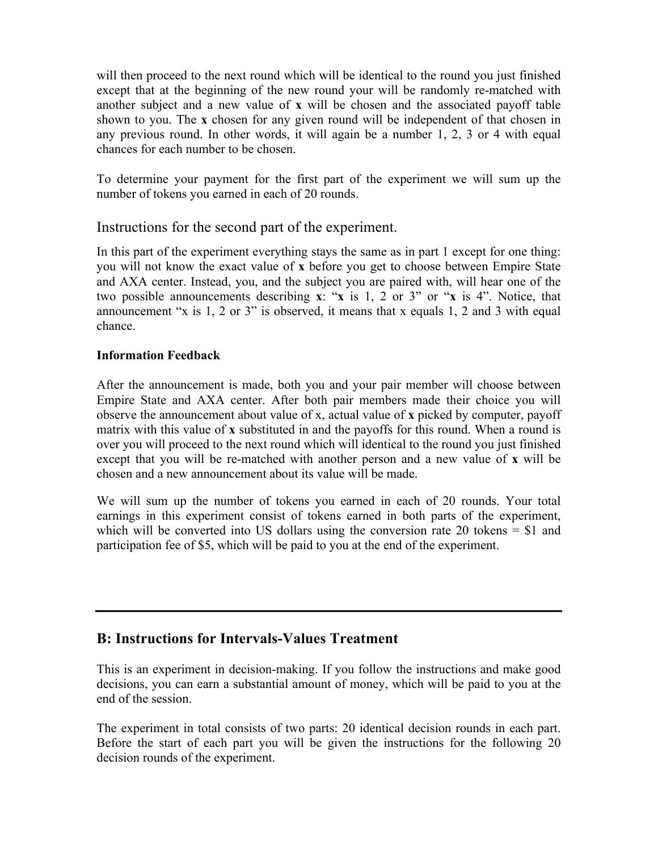will then proceed to the next round which will be identical to the round you just finished except that at the beginning of the new round your will be randomly re-matched with another subject and a new value of **x** will be chosen and the associated payoff table shown to you. The **x** chosen for any given round will be independent of that chosen in any previous round. In other words, it will again be a number 1, 2, 3 or 4 with equal chances for each number to be chosen.

To determine your payment for the first part of the experiment we will sum up the number of tokens you earned in each of 20 rounds.

## Instructions for the second part of the experiment.

In this part of the experiment everything stays the same as in part 1 except for one thing: you will not know the exact value of **x** before you get to choose between Empire State and AXA center. Instead, you, and the subject you are paired with, will hear one of the two possible announcements describing **x**: "**x** is 1, 2 or 3" or "**x** is 4". Notice, that announcement "x is 1, 2 or 3" is observed, it means that x equals 1, 2 and 3 with equal chance.

#### **Information Feedback**

After the announcement is made, both you and your pair member will choose between Empire State and AXA center. After both pair members made their choice you will observe the announcement about value of x, actual value of **x** picked by computer, payoff matrix with this value of **x** substituted in and the payoffs for this round. When a round is over you will proceed to the next round which will identical to the round you just finished except that you will be re-matched with another person and a new value of **x** will be chosen and a new announcement about its value will be made.

We will sum up the number of tokens you earned in each of 20 rounds. Your total earnings in this experiment consist of tokens earned in both parts of the experiment, which will be converted into US dollars using the conversion rate 20 tokens  $= $1$  and participation fee of \$5, which will be paid to you at the end of the experiment.

## **B: Instructions for Intervals-Values Treatment**

This is an experiment in decision-making. If you follow the instructions and make good decisions, you can earn a substantial amount of money, which will be paid to you at the end of the session.

The experiment in total consists of two parts: 20 identical decision rounds in each part. Before the start of each part you will be given the instructions for the following 20 decision rounds of the experiment.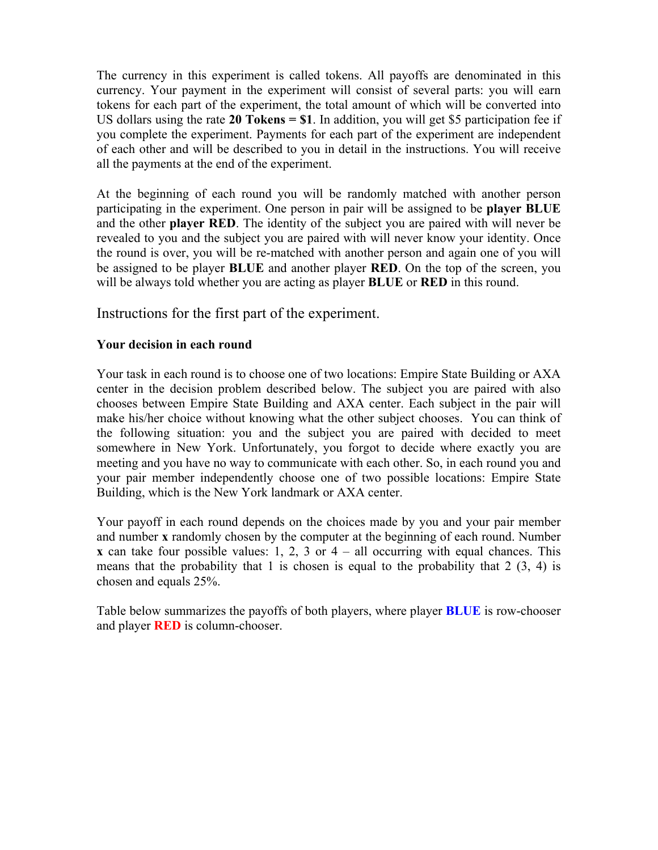The currency in this experiment is called tokens. All payoffs are denominated in this currency. Your payment in the experiment will consist of several parts: you will earn tokens for each part of the experiment, the total amount of which will be converted into US dollars using the rate **20 Tokens = \$1**. In addition, you will get \$5 participation fee if you complete the experiment. Payments for each part of the experiment are independent of each other and will be described to you in detail in the instructions. You will receive all the payments at the end of the experiment.

At the beginning of each round you will be randomly matched with another person participating in the experiment. One person in pair will be assigned to be **player BLUE** and the other **player RED**. The identity of the subject you are paired with will never be revealed to you and the subject you are paired with will never know your identity. Once the round is over, you will be re-matched with another person and again one of you will be assigned to be player **BLUE** and another player **RED**. On the top of the screen, you will be always told whether you are acting as player **BLUE** or **RED** in this round.

Instructions for the first part of the experiment.

#### **Your decision in each round**

Your task in each round is to choose one of two locations: Empire State Building or AXA center in the decision problem described below. The subject you are paired with also chooses between Empire State Building and AXA center. Each subject in the pair will make his/her choice without knowing what the other subject chooses. You can think of the following situation: you and the subject you are paired with decided to meet somewhere in New York. Unfortunately, you forgot to decide where exactly you are meeting and you have no way to communicate with each other. So, in each round you and your pair member independently choose one of two possible locations: Empire State Building, which is the New York landmark or AXA center.

Your payoff in each round depends on the choices made by you and your pair member and number **x** randomly chosen by the computer at the beginning of each round. Number **x** can take four possible values: 1, 2, 3 or  $4 -$  all occurring with equal chances. This means that the probability that 1 is chosen is equal to the probability that  $2(3, 4)$  is chosen and equals 25%.

Table below summarizes the payoffs of both players, where player **BLUE** is row-chooser and player **RED** is column-chooser.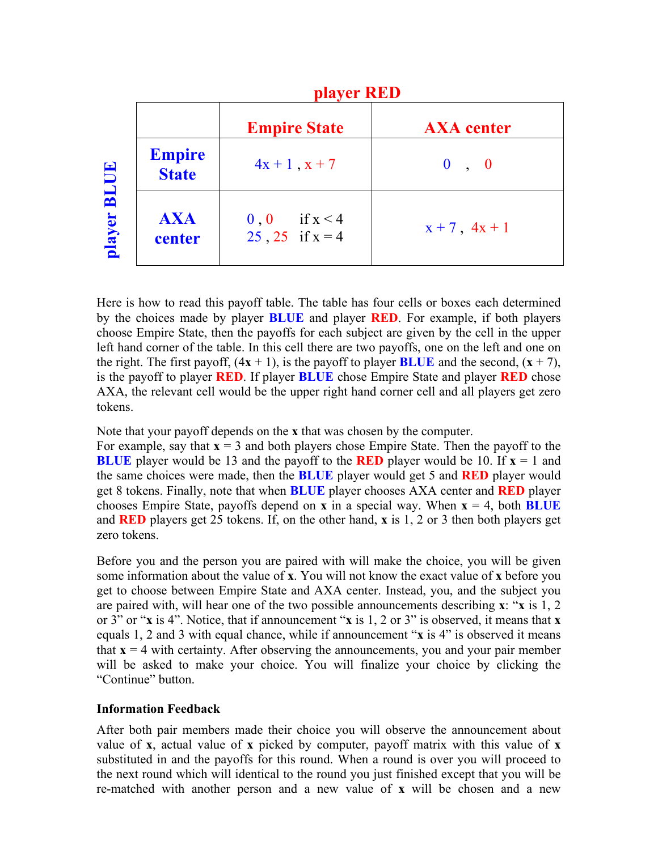|                               | player RED                                |                    |  |
|-------------------------------|-------------------------------------------|--------------------|--|
|                               | <b>Empire State</b>                       | <b>AXA</b> center  |  |
| <b>Empire</b><br><b>State</b> | $4x + 1$ , $x + 7$                        | 0, 0               |  |
| <b>AXA</b><br>center          | if $x < 4$<br>0, 0<br>$25, 25$ if $x = 4$ | $x + 7$ , $4x + 1$ |  |

Here is how to read this payoff table. The table has four cells or boxes each determined by the choices made by player **BLUE** and player **RED**. For example, if both players choose Empire State, then the payoffs for each subject are given by the cell in the upper left hand corner of the table. In this cell there are two payoffs, one on the left and one on the right. The first payoff,  $(4x + 1)$ , is the payoff to player **BLUE** and the second,  $(x + 7)$ , is the payoff to player **RED**. If player **BLUE** chose Empire State and player **RED** chose AXA, the relevant cell would be the upper right hand corner cell and all players get zero tokens.

Note that your payoff depends on the **x** that was chosen by the computer.

For example, say that  $\mathbf{x} = 3$  and both players chose Empire State. Then the payoff to the **BLUE** player would be 13 and the payoff to the **RED** player would be 10. If  $x = 1$  and the same choices were made, then the **BLUE** player would get 5 and **RED** player would get 8 tokens. Finally, note that when **BLUE** player chooses AXA center and **RED** player chooses Empire State, payoffs depend on **x** in a special way. When  $x = 4$ , both **BLUE** and **RED** players get 25 tokens. If, on the other hand, **x** is 1, 2 or 3 then both players get zero tokens.

Before you and the person you are paired with will make the choice, you will be given some information about the value of **x**. You will not know the exact value of **x** before you get to choose between Empire State and AXA center. Instead, you, and the subject you are paired with, will hear one of the two possible announcements describing **x**: "**x** is 1, 2 or 3" or "**x** is 4". Notice, that if announcement "**x** is 1, 2 or 3" is observed, it means that **x** equals 1, 2 and 3 with equal chance, while if announcement "**x** is 4" is observed it means that  $\mathbf{x} = 4$  with certainty. After observing the announcements, you and your pair member will be asked to make your choice. You will finalize your choice by clicking the "Continue" button.

#### **Information Feedback**

After both pair members made their choice you will observe the announcement about value of **x**, actual value of **x** picked by computer, payoff matrix with this value of **x** substituted in and the payoffs for this round. When a round is over you will proceed to the next round which will identical to the round you just finished except that you will be re-matched with another person and a new value of **x** will be chosen and a new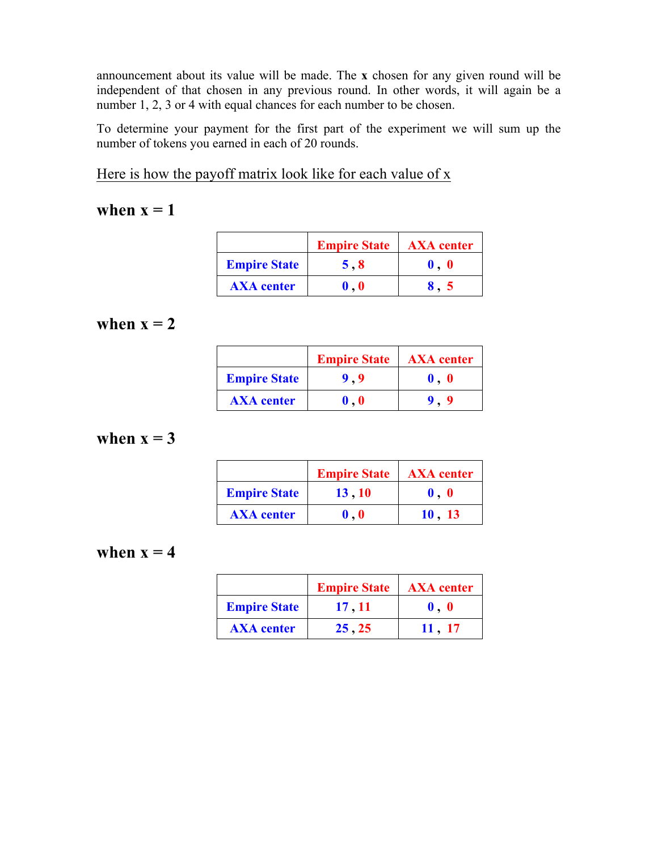announcement about its value will be made. The **x** chosen for any given round will be independent of that chosen in any previous round. In other words, it will again be a number 1, 2, 3 or 4 with equal chances for each number to be chosen.

To determine your payment for the first part of the experiment we will sum up the number of tokens you earned in each of 20 rounds.

Here is how the payoff matrix look like for each value of x

# when  $x = 1$

|                     | <b>Empire State</b>         | <b>AXA</b> center |
|---------------------|-----------------------------|-------------------|
| <b>Empire State</b> | 5,8                         |                   |
| <b>AXA</b> center   | $\mathbf{0}$ , $\mathbf{0}$ |                   |

# when  $x = 2$

|                     | <b>Empire State</b>       | <b>AXA</b> center |
|---------------------|---------------------------|-------------------|
| <b>Empire State</b> |                           |                   |
| <b>AXA</b> center   | $\mathbf{0}$ $\mathbf{0}$ |                   |

# when  $x = 3$

|                     | <b>Empire State</b>         | <b>AXA</b> center           |
|---------------------|-----------------------------|-----------------------------|
| <b>Empire State</b> | 13, 10                      | $\mathbf{0}$ , $\mathbf{0}$ |
| <b>AXA</b> center   | $\mathbf{0}$ , $\mathbf{0}$ | 10, 13                      |

# when  $x = 4$

|                     | <b>Empire State</b> | <b>AXA</b> center           |
|---------------------|---------------------|-----------------------------|
| <b>Empire State</b> | 17, 11              | $\mathbf{0}$ , $\mathbf{0}$ |
| <b>AXA</b> center   | 25.25               | 11.17                       |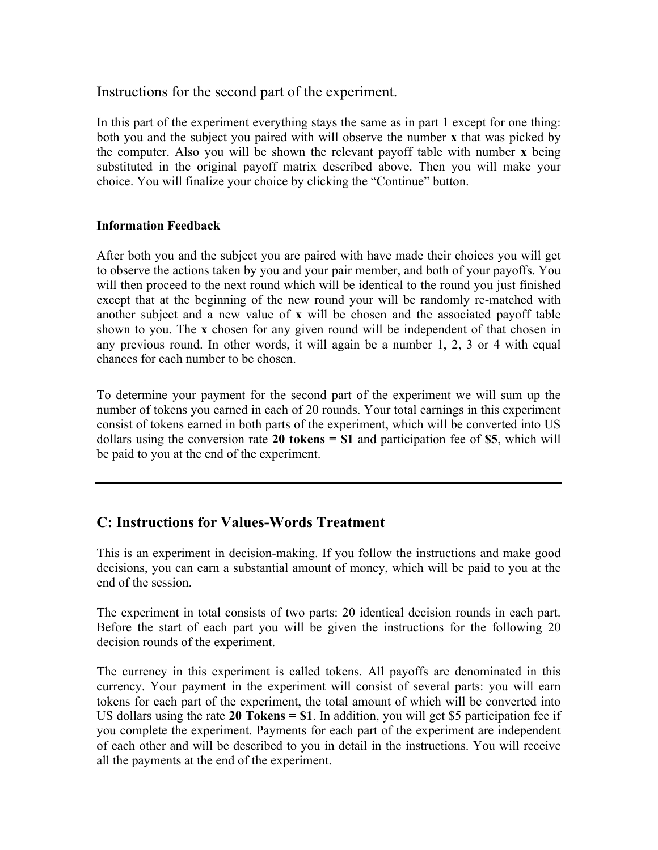Instructions for the second part of the experiment.

In this part of the experiment everything stays the same as in part 1 except for one thing: both you and the subject you paired with will observe the number **x** that was picked by the computer. Also you will be shown the relevant payoff table with number **x** being substituted in the original payoff matrix described above. Then you will make your choice. You will finalize your choice by clicking the "Continue" button.

#### **Information Feedback**

After both you and the subject you are paired with have made their choices you will get to observe the actions taken by you and your pair member, and both of your payoffs. You will then proceed to the next round which will be identical to the round you just finished except that at the beginning of the new round your will be randomly re-matched with another subject and a new value of **x** will be chosen and the associated payoff table shown to you. The **x** chosen for any given round will be independent of that chosen in any previous round. In other words, it will again be a number 1, 2, 3 or 4 with equal chances for each number to be chosen.

To determine your payment for the second part of the experiment we will sum up the number of tokens you earned in each of 20 rounds. Your total earnings in this experiment consist of tokens earned in both parts of the experiment, which will be converted into US dollars using the conversion rate **20 tokens = \$1** and participation fee of **\$5**, which will be paid to you at the end of the experiment.

## **C: Instructions for Values-Words Treatment**

This is an experiment in decision-making. If you follow the instructions and make good decisions, you can earn a substantial amount of money, which will be paid to you at the end of the session.

The experiment in total consists of two parts: 20 identical decision rounds in each part. Before the start of each part you will be given the instructions for the following 20 decision rounds of the experiment.

The currency in this experiment is called tokens. All payoffs are denominated in this currency. Your payment in the experiment will consist of several parts: you will earn tokens for each part of the experiment, the total amount of which will be converted into US dollars using the rate **20 Tokens = \$1**. In addition, you will get \$5 participation fee if you complete the experiment. Payments for each part of the experiment are independent of each other and will be described to you in detail in the instructions. You will receive all the payments at the end of the experiment.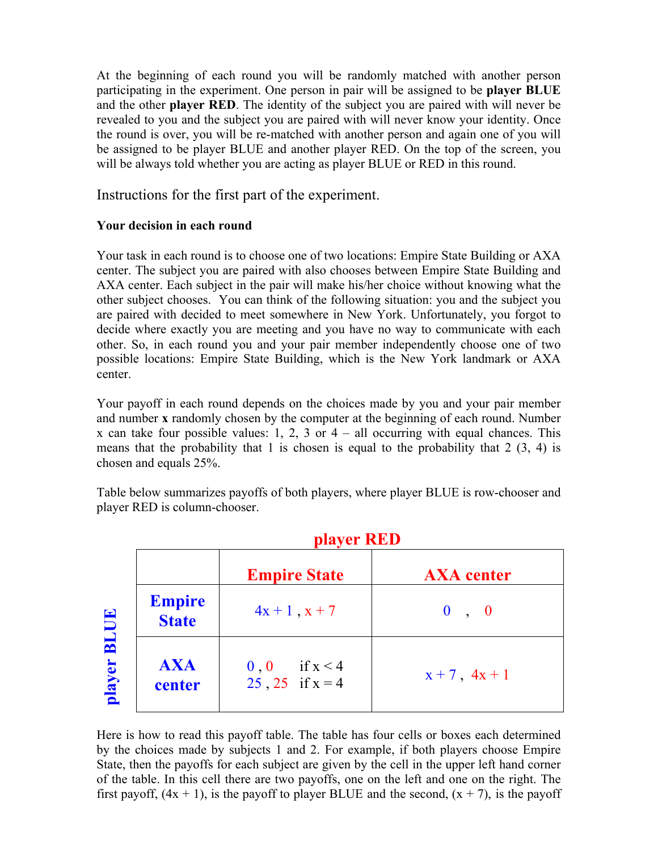At the beginning of each round you will be randomly matched with another person participating in the experiment. One person in pair will be assigned to be **player BLUE** and the other **player RED**. The identity of the subject you are paired with will never be revealed to you and the subject you are paired with will never know your identity. Once the round is over, you will be re-matched with another person and again one of you will be assigned to be player BLUE and another player RED. On the top of the screen, you will be always told whether you are acting as player BLUE or RED in this round.

Instructions for the first part of the experiment.

## **Your decision in each round**

Your task in each round is to choose one of two locations: Empire State Building or AXA center. The subject you are paired with also chooses between Empire State Building and AXA center. Each subject in the pair will make his/her choice without knowing what the other subject chooses. You can think of the following situation: you and the subject you are paired with decided to meet somewhere in New York. Unfortunately, you forgot to decide where exactly you are meeting and you have no way to communicate with each other. So, in each round you and your pair member independently choose one of two possible locations: Empire State Building, which is the New York landmark or AXA center.

Your payoff in each round depends on the choices made by you and your pair member and number **x** randomly chosen by the computer at the beginning of each round. Number x can take four possible values: 1, 2, 3 or  $4 -$  all occurring with equal chances. This means that the probability that 1 is chosen is equal to the probability that  $2(3, 4)$  is chosen and equals 25%.

Table below summarizes payoffs of both players, where player BLUE is row-chooser and player RED is column-chooser.

|                       |                               | player RED                                          |                    |  |
|-----------------------|-------------------------------|-----------------------------------------------------|--------------------|--|
|                       |                               | <b>Empire State</b>                                 | <b>AXA</b> center  |  |
| <b>BLUE</b><br>player | <b>Empire</b><br><b>State</b> | $4x + 1$ , $x + 7$                                  | 0, 0               |  |
|                       | <b>AXA</b><br>center          | if $x < 4$<br>0 <sub>0</sub><br>$25, 25$ if $x = 4$ | $x + 7$ , $4x + 1$ |  |

## Here is how to read this payoff table. The table has four cells or boxes each determined by the choices made by subjects 1 and 2. For example, if both players choose Empire State, then the payoffs for each subject are given by the cell in the upper left hand corner of the table. In this cell there are two payoffs, one on the left and one on the right. The first payoff,  $(4x + 1)$ , is the payoff to player BLUE and the second,  $(x + 7)$ , is the payoff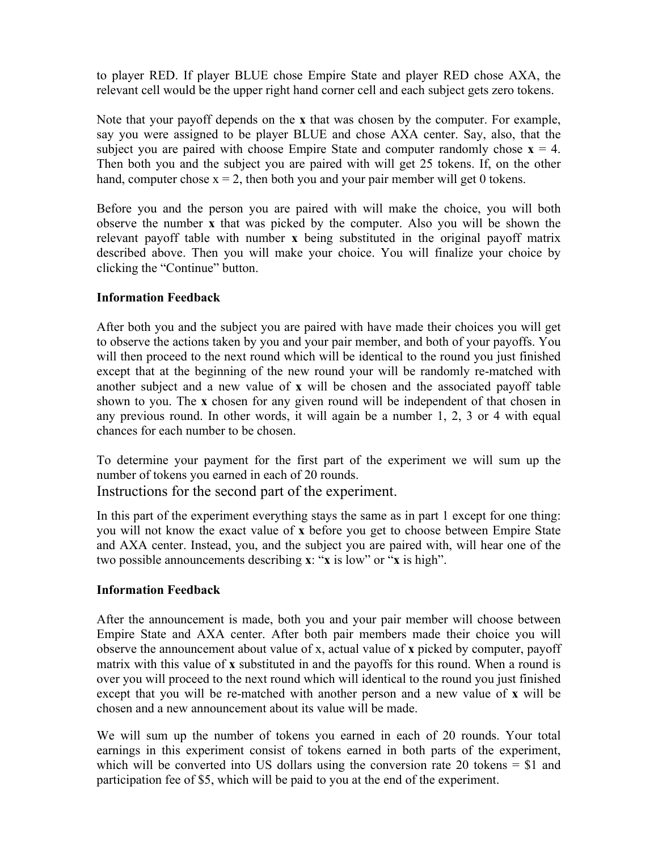to player RED. If player BLUE chose Empire State and player RED chose AXA, the relevant cell would be the upper right hand corner cell and each subject gets zero tokens.

Note that your payoff depends on the **x** that was chosen by the computer. For example, say you were assigned to be player BLUE and chose AXA center. Say, also, that the subject you are paired with choose Empire State and computer randomly chose  $\mathbf{x} = 4$ . Then both you and the subject you are paired with will get 25 tokens. If, on the other hand, computer chose  $x = 2$ , then both you and your pair member will get 0 tokens.

Before you and the person you are paired with will make the choice, you will both observe the number **x** that was picked by the computer. Also you will be shown the relevant payoff table with number **x** being substituted in the original payoff matrix described above. Then you will make your choice. You will finalize your choice by clicking the "Continue" button.

## **Information Feedback**

After both you and the subject you are paired with have made their choices you will get to observe the actions taken by you and your pair member, and both of your payoffs. You will then proceed to the next round which will be identical to the round you just finished except that at the beginning of the new round your will be randomly re-matched with another subject and a new value of **x** will be chosen and the associated payoff table shown to you. The **x** chosen for any given round will be independent of that chosen in any previous round. In other words, it will again be a number 1, 2, 3 or 4 with equal chances for each number to be chosen.

To determine your payment for the first part of the experiment we will sum up the number of tokens you earned in each of 20 rounds.

Instructions for the second part of the experiment.

In this part of the experiment everything stays the same as in part 1 except for one thing: you will not know the exact value of **x** before you get to choose between Empire State and AXA center. Instead, you, and the subject you are paired with, will hear one of the two possible announcements describing **x**: "**x** is low" or "**x** is high".

## **Information Feedback**

After the announcement is made, both you and your pair member will choose between Empire State and AXA center. After both pair members made their choice you will observe the announcement about value of x, actual value of **x** picked by computer, payoff matrix with this value of **x** substituted in and the payoffs for this round. When a round is over you will proceed to the next round which will identical to the round you just finished except that you will be re-matched with another person and a new value of **x** will be chosen and a new announcement about its value will be made.

We will sum up the number of tokens you earned in each of 20 rounds. Your total earnings in this experiment consist of tokens earned in both parts of the experiment, which will be converted into US dollars using the conversion rate 20 tokens = \$1 and participation fee of \$5, which will be paid to you at the end of the experiment.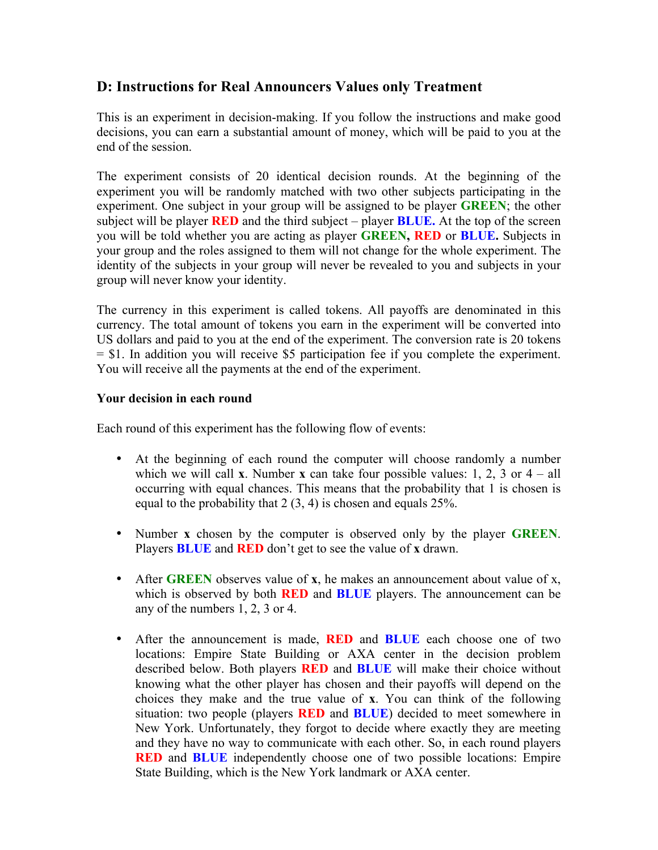## **D: Instructions for Real Announcers Values only Treatment**

This is an experiment in decision-making. If you follow the instructions and make good decisions, you can earn a substantial amount of money, which will be paid to you at the end of the session.

The experiment consists of 20 identical decision rounds. At the beginning of the experiment you will be randomly matched with two other subjects participating in the experiment. One subject in your group will be assigned to be player **GREEN**; the other subject will be player **RED** and the third subject – player **BLUE.** At the top of the screen you will be told whether you are acting as player **GREEN, RED** or **BLUE.** Subjects in your group and the roles assigned to them will not change for the whole experiment. The identity of the subjects in your group will never be revealed to you and subjects in your group will never know your identity.

The currency in this experiment is called tokens. All payoffs are denominated in this currency. The total amount of tokens you earn in the experiment will be converted into US dollars and paid to you at the end of the experiment. The conversion rate is 20 tokens = \$1. In addition you will receive \$5 participation fee if you complete the experiment. You will receive all the payments at the end of the experiment.

#### **Your decision in each round**

Each round of this experiment has the following flow of events:

- At the beginning of each round the computer will choose randomly a number which we will call **x**. Number **x** can take four possible values: 1, 2, 3 or  $4 - all$ occurring with equal chances. This means that the probability that 1 is chosen is equal to the probability that 2 (3, 4) is chosen and equals 25%.
- Number **x** chosen by the computer is observed only by the player **GREEN**. Players **BLUE** and **RED** don't get to see the value of **x** drawn.
- After **GREEN** observes value of **x**, he makes an announcement about value of x, which is observed by both **RED** and **BLUE** players. The announcement can be any of the numbers 1, 2, 3 or 4.
- After the announcement is made, **RED** and **BLUE** each choose one of two locations: Empire State Building or AXA center in the decision problem described below. Both players **RED** and **BLUE** will make their choice without knowing what the other player has chosen and their payoffs will depend on the choices they make and the true value of **x**. You can think of the following situation: two people (players **RED** and **BLUE**) decided to meet somewhere in New York. Unfortunately, they forgot to decide where exactly they are meeting and they have no way to communicate with each other. So, in each round players **RED** and **BLUE** independently choose one of two possible locations: Empire State Building, which is the New York landmark or AXA center.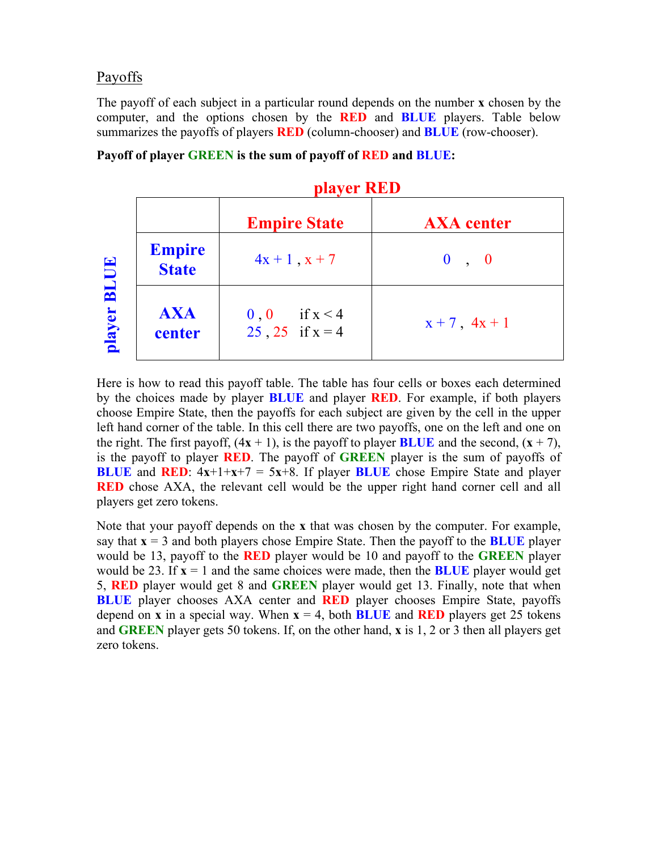## Payoffs

The payoff of each subject in a particular round depends on the number **x** chosen by the computer, and the options chosen by the **RED** and **BLUE** players. Table below summarizes the payoffs of players **RED** (column-chooser) and **BLUE** (row-chooser).

|             |                               | player RED                                |                    |  |
|-------------|-------------------------------|-------------------------------------------|--------------------|--|
|             |                               | <b>Empire State</b>                       | <b>AXA</b> center  |  |
| <b>BLUE</b> | <b>Empire</b><br><b>State</b> | $4x + 1$ , $x + 7$                        | 0, 0               |  |
| player      | <b>AXA</b><br>center          | if $x < 4$<br>0, 0<br>$25, 25$ if $x = 4$ | $x + 7$ , $4x + 1$ |  |

#### **Payoff of player GREEN is the sum of payoff of RED and BLUE:**

Here is how to read this payoff table. The table has four cells or boxes each determined by the choices made by player **BLUE** and player **RED**. For example, if both players choose Empire State, then the payoffs for each subject are given by the cell in the upper left hand corner of the table. In this cell there are two payoffs, one on the left and one on the right. The first payoff,  $(4x + 1)$ , is the payoff to player **BLUE** and the second,  $(x + 7)$ , is the payoff to player **RED**. The payoff of **GREEN** player is the sum of payoffs of **BLUE** and **RED**:  $4x+1+x+7 = 5x+8$ . If player **BLUE** chose Empire State and player **RED** chose AXA, the relevant cell would be the upper right hand corner cell and all players get zero tokens.

Note that your payoff depends on the **x** that was chosen by the computer. For example, say that  $\mathbf{x} = 3$  and both players chose Empire State. Then the payoff to the **BLUE** player would be 13, payoff to the **RED** player would be 10 and payoff to the **GREEN** player would be 23. If  $\mathbf{x} = 1$  and the same choices were made, then the **BLUE** player would get 5, **RED** player would get 8 and **GREEN** player would get 13. Finally, note that when **BLUE** player chooses AXA center and **RED** player chooses Empire State, payoffs depend on **x** in a special way. When  $x = 4$ , both **BLUE** and **RED** players get 25 tokens and **GREEN** player gets 50 tokens. If, on the other hand, **x** is 1, 2 or 3 then all players get zero tokens.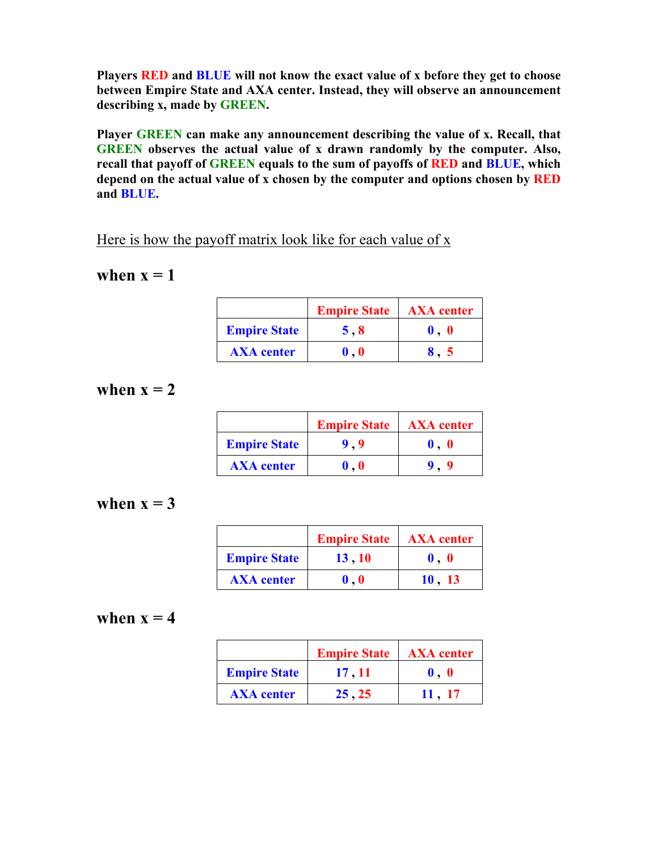**Players RED and BLUE will not know the exact value of x before they get to choose between Empire State and AXA center. Instead, they will observe an announcement describing x, made by GREEN.**

**Player GREEN can make any announcement describing the value of x. Recall, that GREEN observes the actual value of x drawn randomly by the computer. Also, recall that payoff of GREEN equals to the sum of payoffs of RED and BLUE, which depend on the actual value of x chosen by the computer and options chosen by RED and BLUE.**

Here is how the payoff matrix look like for each value of  $x$ 

## when  $x = 1$

|                     | <b>Empire State</b> | <b>AXA</b> center   |
|---------------------|---------------------|---------------------|
| <b>Empire State</b> | 5.8                 | $\bf{0}$ . $\bf{0}$ |
| <b>AXA</b> center   | $\bm{0}$ . $\bm{0}$ |                     |

## when  $x = 2$

|                     | <b>Empire State</b>         | <b>AXA</b> center |
|---------------------|-----------------------------|-------------------|
| <b>Empire State</b> | 9.9                         |                   |
| <b>AXA</b> center   | $\mathbf{0}$ , $\mathbf{0}$ |                   |

## when  $x = 3$

|                     | <b>Empire State</b>         | <b>AXA</b> center |
|---------------------|-----------------------------|-------------------|
| <b>Empire State</b> | 13, 10                      | $\mathbf 0.0$     |
| <b>AXA</b> center   | $\mathbf{0}$ , $\mathbf{0}$ | 10.13             |

# when  $x = 4$

|                     | <b>Empire State</b> | <b>AXA</b> center           |
|---------------------|---------------------|-----------------------------|
| <b>Empire State</b> | 17, 11              | $\mathbf{0}$ , $\mathbf{0}$ |
| <b>AXA</b> center   | 25, 25              | 11.17                       |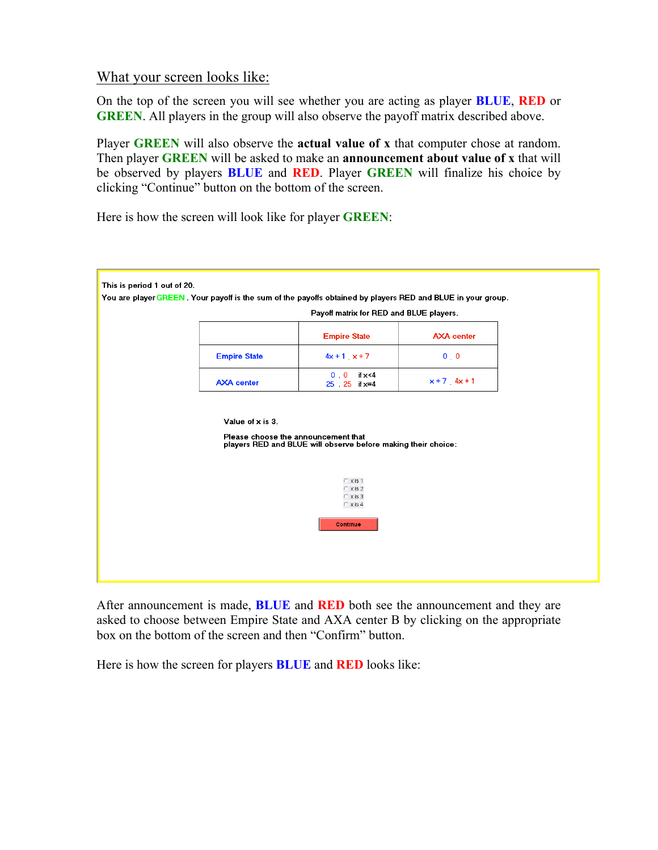## What your screen looks like:

On the top of the screen you will see whether you are acting as player **BLUE**, **RED** or **GREEN**. All players in the group will also observe the payoff matrix described above.

Player **GREEN** will also observe the **actual value of x** that computer chose at random. Then player **GREEN** will be asked to make an **announcement about value of x** that will be observed by players **BLUE** and **RED**. Player **GREEN** will finalize his choice by clicking "Continue" button on the bottom of the screen.

Here is how the screen will look like for player **GREEN**:



After announcement is made, **BLUE** and **RED** both see the announcement and they are asked to choose between Empire State and AXA center B by clicking on the appropriate box on the bottom of the screen and then "Confirm" button.

Here is how the screen for players **BLUE** and **RED** looks like: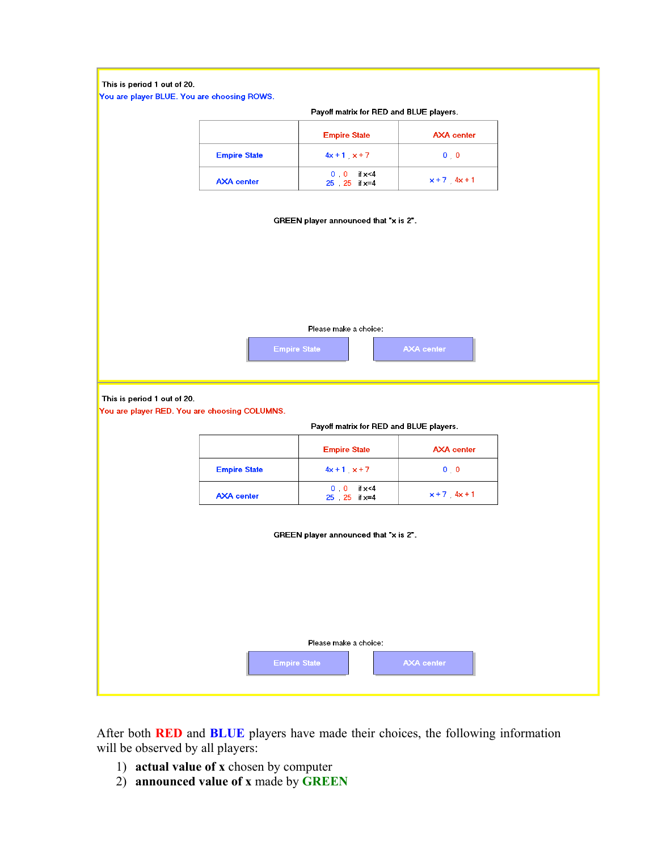#### This is period 1 out of 20.

You are player BLUE. You are choosing ROWS.

|                     | Payoff matrix for RED and BLUE players. |                   |
|---------------------|-----------------------------------------|-------------------|
|                     | <b>Empire State</b>                     | <b>AXA</b> center |
| <b>Empire State</b> | $4x + 1 x + 7$                          | $0\quad 0$        |
| <b>AXA</b> center   | $0 \t 0 \t 1 \times 4$<br>25 25 i x=4   | $x + 7$ 4x + 1    |

|  |  | GREEN player announced that "x is 2". |  |  |  |
|--|--|---------------------------------------|--|--|--|
|--|--|---------------------------------------|--|--|--|

| Please make a choice: |                   |
|-----------------------|-------------------|
| <b>Empire State</b>   | <b>AXA</b> center |

This is period 1 out of 20.

You are player RED. You are choosing COLUMNS.

Payoff matrix for RED and BLUE players.

|                     | <b>Empire State</b>                     | <b>AXA</b> center |
|---------------------|-----------------------------------------|-------------------|
| <b>Empire State</b> | $4x + 1 x + 7$                          | $0\quad 0$        |
| <b>AXA</b> center   | $0, 0$ if $x < 4$<br>$25$ $25$ if $x=4$ | $x + 7$ 4x + 1    |

| GREEN player announced that "x is 2". |                     |                   |  |
|---------------------------------------|---------------------|-------------------|--|
|                                       |                     |                   |  |
|                                       |                     |                   |  |
|                                       |                     |                   |  |
|                                       |                     |                   |  |
|                                       |                     |                   |  |
| Please make a choice:                 |                     |                   |  |
|                                       | <b>Empire State</b> | <b>AXA center</b> |  |
|                                       |                     |                   |  |

After both **RED** and **BLUE** players have made their choices, the following information will be observed by all players:

- 1) **actual value of x** chosen by computer
- 2) **announced value of x** made by **GREEN**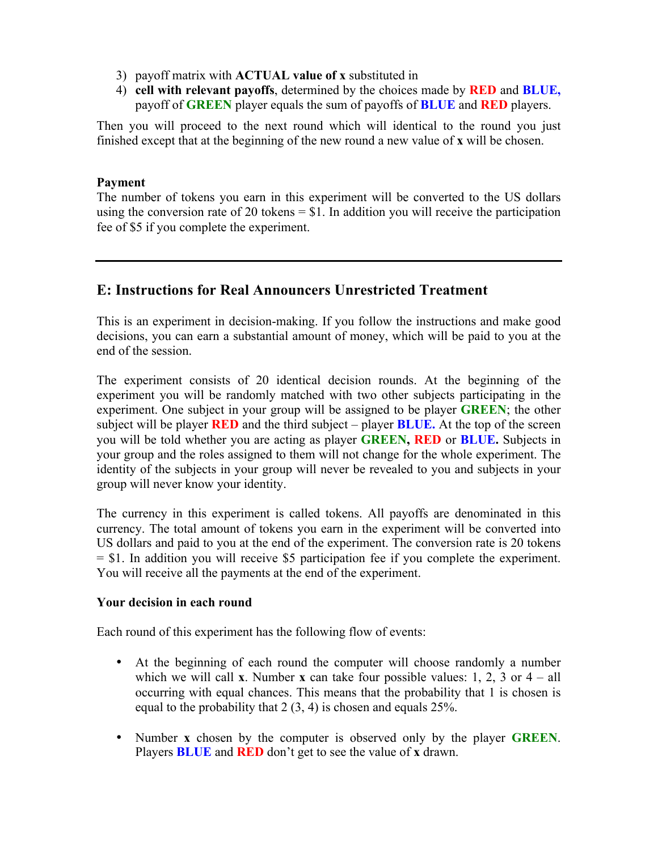- 3) payoff matrix with **ACTUAL value of x** substituted in
- 4) **cell with relevant payoffs**, determined by the choices made by **RED** and **BLUE,**  payoff of **GREEN** player equals the sum of payoffs of **BLUE** and **RED** players.

Then you will proceed to the next round which will identical to the round you just finished except that at the beginning of the new round a new value of **x** will be chosen.

#### **Payment**

The number of tokens you earn in this experiment will be converted to the US dollars using the conversion rate of 20 tokens  $= $1$ . In addition you will receive the participation fee of \$5 if you complete the experiment.

## **E: Instructions for Real Announcers Unrestricted Treatment**

This is an experiment in decision-making. If you follow the instructions and make good decisions, you can earn a substantial amount of money, which will be paid to you at the end of the session.

The experiment consists of 20 identical decision rounds. At the beginning of the experiment you will be randomly matched with two other subjects participating in the experiment. One subject in your group will be assigned to be player **GREEN**; the other subject will be player **RED** and the third subject – player **BLUE.** At the top of the screen you will be told whether you are acting as player **GREEN, RED** or **BLUE.** Subjects in your group and the roles assigned to them will not change for the whole experiment. The identity of the subjects in your group will never be revealed to you and subjects in your group will never know your identity.

The currency in this experiment is called tokens. All payoffs are denominated in this currency. The total amount of tokens you earn in the experiment will be converted into US dollars and paid to you at the end of the experiment. The conversion rate is 20 tokens = \$1. In addition you will receive \$5 participation fee if you complete the experiment. You will receive all the payments at the end of the experiment.

## **Your decision in each round**

Each round of this experiment has the following flow of events:

- At the beginning of each round the computer will choose randomly a number which we will call **x**. Number **x** can take four possible values: 1, 2, 3 or  $4 - \text{all}$ occurring with equal chances. This means that the probability that 1 is chosen is equal to the probability that 2 (3, 4) is chosen and equals 25%.
- Number **x** chosen by the computer is observed only by the player **GREEN**. Players **BLUE** and **RED** don't get to see the value of **x** drawn.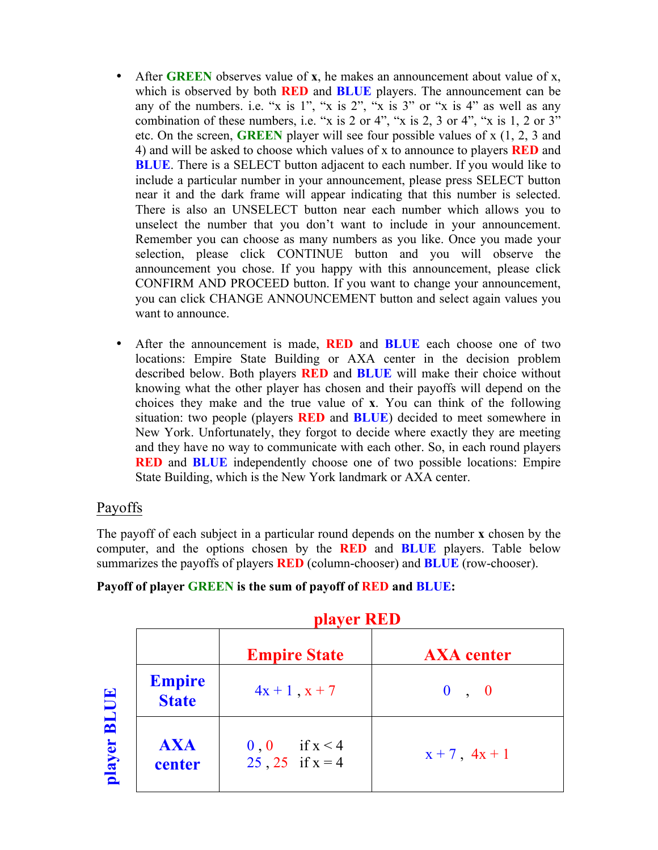- After **GREEN** observes value of **x**, he makes an announcement about value of x, which is observed by both **RED** and **BLUE** players. The announcement can be any of the numbers. i.e. "x is 1", "x is 2", "x is 3" or "x is 4" as well as any combination of these numbers, i.e. "x is 2 or 4", "x is 2, 3 or 4", "x is 1, 2 or  $3$ " etc. On the screen, **GREEN** player will see four possible values of x (1, 2, 3 and 4) and will be asked to choose which values of x to announce to players **RED** and **BLUE**. There is a SELECT button adjacent to each number. If you would like to include a particular number in your announcement, please press SELECT button near it and the dark frame will appear indicating that this number is selected. There is also an UNSELECT button near each number which allows you to unselect the number that you don't want to include in your announcement. Remember you can choose as many numbers as you like. Once you made your selection, please click CONTINUE button and you will observe the announcement you chose. If you happy with this announcement, please click CONFIRM AND PROCEED button. If you want to change your announcement, you can click CHANGE ANNOUNCEMENT button and select again values you want to announce.
- After the announcement is made, **RED** and **BLUE** each choose one of two locations: Empire State Building or AXA center in the decision problem described below. Both players **RED** and **BLUE** will make their choice without knowing what the other player has chosen and their payoffs will depend on the choices they make and the true value of **x**. You can think of the following situation: two people (players **RED** and **BLUE**) decided to meet somewhere in New York. Unfortunately, they forgot to decide where exactly they are meeting and they have no way to communicate with each other. So, in each round players **RED** and **BLUE** independently choose one of two possible locations: Empire State Building, which is the New York landmark or AXA center.

## Payoffs

The payoff of each subject in a particular round depends on the number **x** chosen by the computer, and the options chosen by the **RED** and **BLUE** players. Table below summarizes the payoffs of players **RED** (column-chooser) and **BLUE** (row-chooser).

| Payoff of player GREEN is the sum of payoff of RED and BLUE: |  |  |  |  |
|--------------------------------------------------------------|--|--|--|--|
|--------------------------------------------------------------|--|--|--|--|

|             |                               | ритет кер                                 |                    |  |
|-------------|-------------------------------|-------------------------------------------|--------------------|--|
|             |                               | <b>Empire State</b>                       | <b>AXA</b> center  |  |
| <b>BLUE</b> | <b>Empire</b><br><b>State</b> | $4x + 1$ , $x + 7$                        | 0, 0               |  |
| player      | <b>AXA</b><br>center          | if $x < 4$<br>0, 0<br>$25, 25$ if $x = 4$ | $x + 7$ , $4x + 1$ |  |

 **player RED**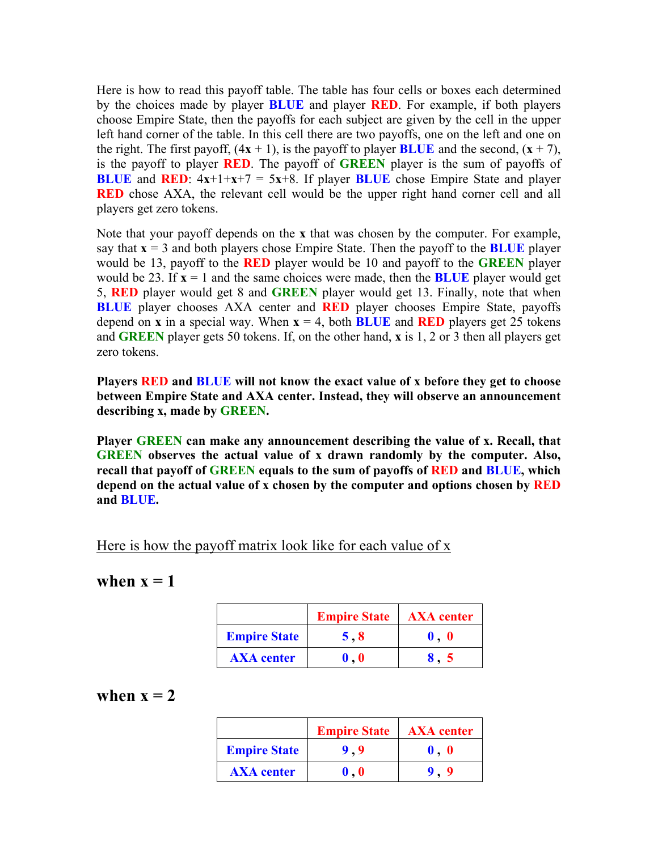Here is how to read this payoff table. The table has four cells or boxes each determined by the choices made by player **BLUE** and player **RED**. For example, if both players choose Empire State, then the payoffs for each subject are given by the cell in the upper left hand corner of the table. In this cell there are two payoffs, one on the left and one on the right. The first payoff,  $(4x + 1)$ , is the payoff to player **BLUE** and the second,  $(x + 7)$ , is the payoff to player **RED**. The payoff of **GREEN** player is the sum of payoffs of **BLUE** and **RED**:  $4x+1+x+7 = 5x+8$ . If player **BLUE** chose Empire State and player **RED** chose AXA, the relevant cell would be the upper right hand corner cell and all players get zero tokens.

Note that your payoff depends on the **x** that was chosen by the computer. For example, say that  $\mathbf{x} = 3$  and both players chose Empire State. Then the payoff to the **BLUE** player would be 13, payoff to the **RED** player would be 10 and payoff to the **GREEN** player would be 23. If  $x = 1$  and the same choices were made, then the **BLUE** player would get 5, **RED** player would get 8 and **GREEN** player would get 13. Finally, note that when **BLUE** player chooses AXA center and **RED** player chooses Empire State, payoffs depend on **x** in a special way. When  $x = 4$ , both **BLUE** and **RED** players get 25 tokens and **GREEN** player gets 50 tokens. If, on the other hand, **x** is 1, 2 or 3 then all players get zero tokens.

**Players RED and BLUE will not know the exact value of x before they get to choose between Empire State and AXA center. Instead, they will observe an announcement describing x, made by GREEN.**

**Player GREEN can make any announcement describing the value of x. Recall, that GREEN observes the actual value of x drawn randomly by the computer. Also, recall that payoff of GREEN equals to the sum of payoffs of RED and BLUE, which depend on the actual value of x chosen by the computer and options chosen by RED and BLUE.**

Here is how the payoff matrix look like for each value of x

## when  $x = 1$

|                     | <b>Empire State</b>       | <b>AXA</b> center   |
|---------------------|---------------------------|---------------------|
| <b>Empire State</b> | 5.8                       | $\bf{0}$ . $\bf{0}$ |
| <b>AXA</b> center   | $\mathbf{0}$ $\mathbf{0}$ |                     |

## when  $x = 2$

|                     | <b>Empire State</b> | <b>AXA</b> center           |
|---------------------|---------------------|-----------------------------|
| <b>Empire State</b> | 9.9                 | $\mathbf{0}$ . $\mathbf{0}$ |
| <b>AXA</b> center   | $\bf{0}$ . $\bf{0}$ |                             |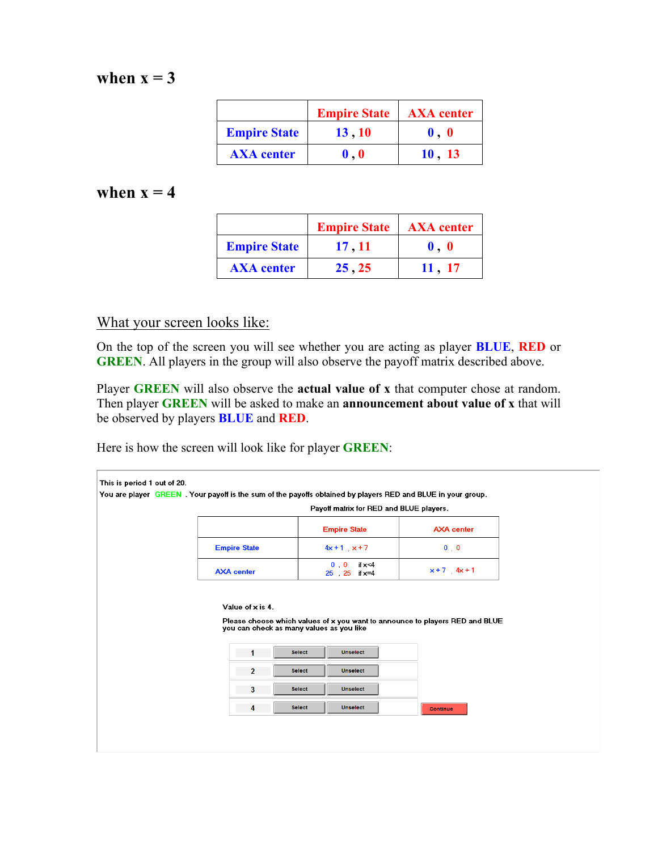# when  $x = 3$

|                     | <b>Empire State</b>       | <b>AXA</b> center         |
|---------------------|---------------------------|---------------------------|
| <b>Empire State</b> | 13, 10                    | $\mathbf 0$ . $\mathbf 0$ |
| <b>AXA</b> center   | $\mathbf{0}$ $\mathbf{0}$ | 10, 13                    |

## when  $x = 4$

|                     | <b>Empire State</b> | <b>AXA</b> center |
|---------------------|---------------------|-------------------|
| <b>Empire State</b> | 17, 11              | $\mathbf 0.0$     |
| <b>AXA</b> center   | 25, 25              | 11 . 17           |

## What your screen looks like:

On the top of the screen you will see whether you are acting as player **BLUE**, **RED** or **GREEN**. All players in the group will also observe the payoff matrix described above.

Player **GREEN** will also observe the **actual value of x** that computer chose at random. Then player **GREEN** will be asked to make an **announcement about value of x** that will be observed by players **BLUE** and **RED**.

Here is how the screen will look like for player **GREEN**:

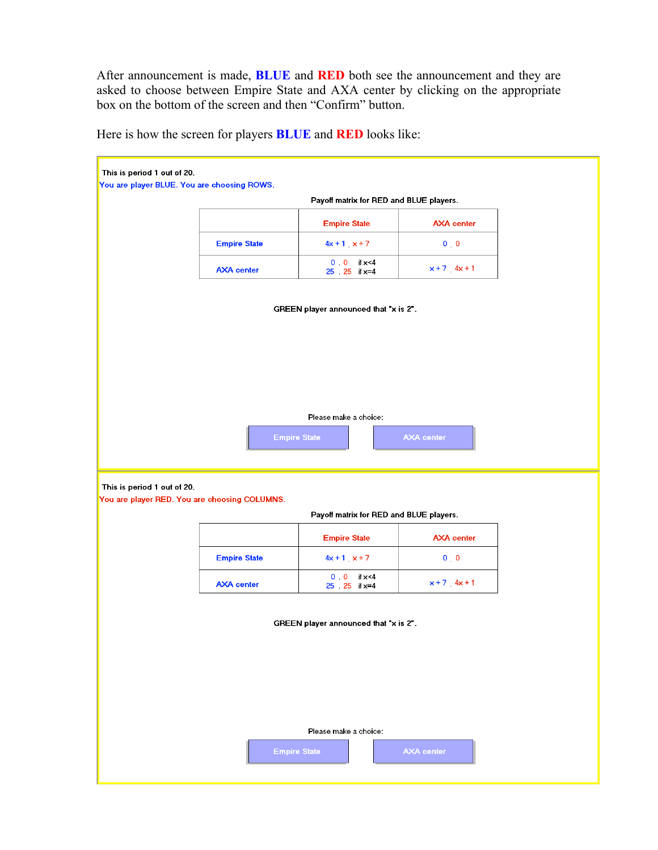After announcement is made, **BLUE** and **RED** both see the announcement and they are asked to choose between Empire State and AXA center by clicking on the appropriate box on the bottom of the screen and then "Confirm" button.

This is period 1 out of 20. You are player BLUE. You are choosing ROWS. Payoff matrix for RED and BLUE players. **AXA** center **Empire State Empire State**  $4x + 1$ ,  $x + 7$  $0<sub>1</sub>$  $0$  0  $\text{if } \mathsf{x}$  <4 **AXA** center  $x+7$ ,  $4x+1$  $25$   $25$  if  $x=4$ GREEN player announced that "x is 2". Please make a choice:

Here is how the screen for players **BLUE** and **RED** looks like:

This is period 1 out of 20.

You are player RED. You are choosing COLUMNS.

Payoff matrix for RED and BLUE players.

|                     | <b>Empire State</b>                  | <b>AXA</b> center |
|---------------------|--------------------------------------|-------------------|
| <b>Empire State</b> | $4x + 1$ $x + 7$                     | $0\quad 0$        |
| <b>AXA</b> center   | $0 \t 0 \t 1 \times 4$<br>25 25 ix=4 | $x + 7$ $4x + 1$  |

GREEN player announced that "x is 2".

Please make a choice: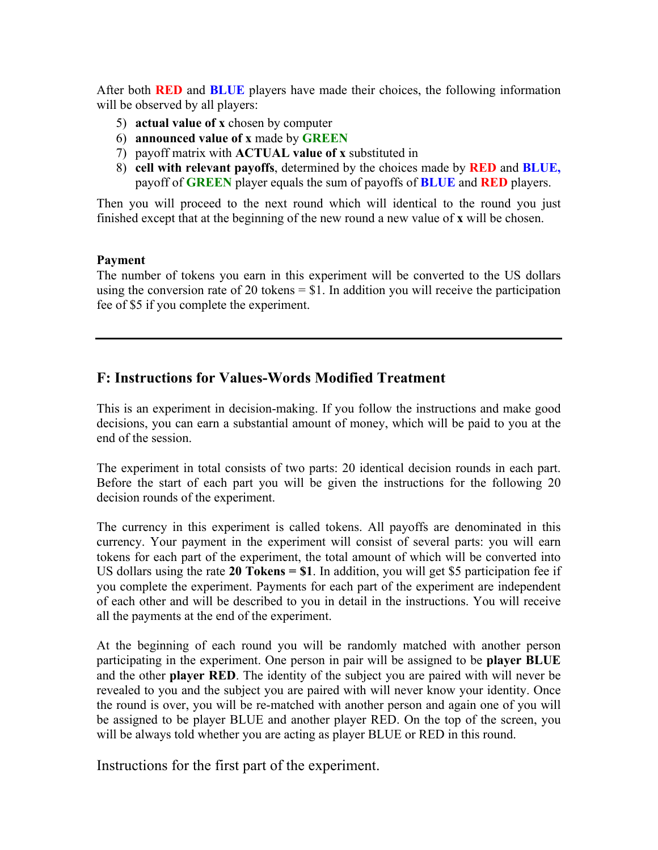After both **RED** and **BLUE** players have made their choices, the following information will be observed by all players:

- 5) **actual value of x** chosen by computer
- 6) **announced value of x** made by **GREEN**
- 7) payoff matrix with **ACTUAL value of x** substituted in
- 8) **cell with relevant payoffs**, determined by the choices made by **RED** and **BLUE,**  payoff of **GREEN** player equals the sum of payoffs of **BLUE** and **RED** players.

Then you will proceed to the next round which will identical to the round you just finished except that at the beginning of the new round a new value of **x** will be chosen.

#### **Payment**

The number of tokens you earn in this experiment will be converted to the US dollars using the conversion rate of 20 tokens  $= $1$ . In addition you will receive the participation fee of \$5 if you complete the experiment.

## **F: Instructions for Values-Words Modified Treatment**

This is an experiment in decision-making. If you follow the instructions and make good decisions, you can earn a substantial amount of money, which will be paid to you at the end of the session.

The experiment in total consists of two parts: 20 identical decision rounds in each part. Before the start of each part you will be given the instructions for the following 20 decision rounds of the experiment.

The currency in this experiment is called tokens. All payoffs are denominated in this currency. Your payment in the experiment will consist of several parts: you will earn tokens for each part of the experiment, the total amount of which will be converted into US dollars using the rate **20 Tokens = \$1**. In addition, you will get \$5 participation fee if you complete the experiment. Payments for each part of the experiment are independent of each other and will be described to you in detail in the instructions. You will receive all the payments at the end of the experiment.

At the beginning of each round you will be randomly matched with another person participating in the experiment. One person in pair will be assigned to be **player BLUE** and the other **player RED**. The identity of the subject you are paired with will never be revealed to you and the subject you are paired with will never know your identity. Once the round is over, you will be re-matched with another person and again one of you will be assigned to be player BLUE and another player RED. On the top of the screen, you will be always told whether you are acting as player BLUE or RED in this round.

Instructions for the first part of the experiment.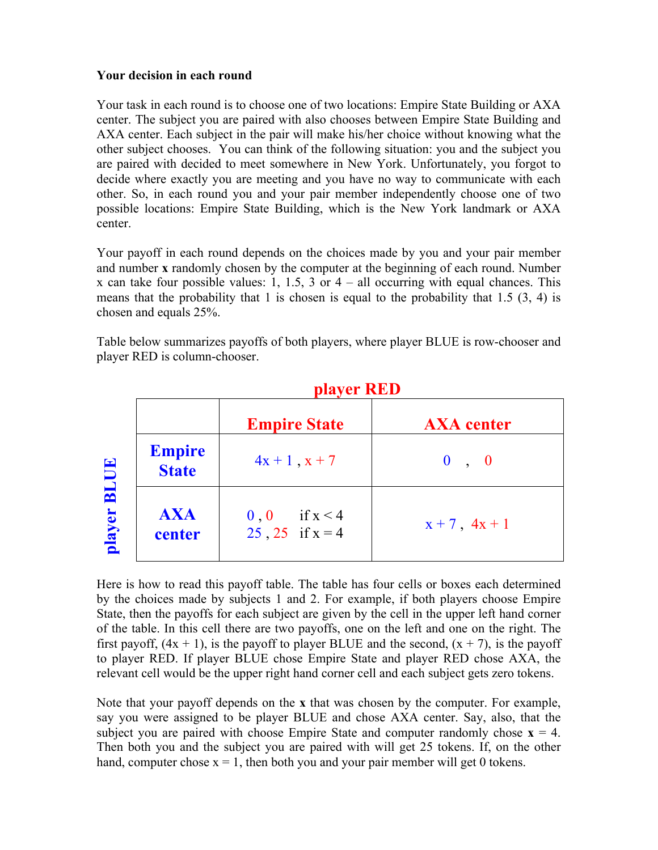#### **Your decision in each round**

Your task in each round is to choose one of two locations: Empire State Building or AXA center. The subject you are paired with also chooses between Empire State Building and AXA center. Each subject in the pair will make his/her choice without knowing what the other subject chooses. You can think of the following situation: you and the subject you are paired with decided to meet somewhere in New York. Unfortunately, you forgot to decide where exactly you are meeting and you have no way to communicate with each other. So, in each round you and your pair member independently choose one of two possible locations: Empire State Building, which is the New York landmark or AXA center.

Your payoff in each round depends on the choices made by you and your pair member and number **x** randomly chosen by the computer at the beginning of each round. Number x can take four possible values: 1, 1.5, 3 or  $4 -$  all occurring with equal chances. This means that the probability that 1 is chosen is equal to the probability that 1.5 (3, 4) is chosen and equals 25%.

Table below summarizes payoffs of both players, where player BLUE is row-chooser and player RED is column-chooser.

|                       |                               | <b>Empire State</b>                       | <b>AXA</b> center  |
|-----------------------|-------------------------------|-------------------------------------------|--------------------|
| <b>BLUE</b><br>player | <b>Empire</b><br><b>State</b> | $4x + 1$ , $x + 7$                        | 0, 0               |
|                       | <b>AXA</b><br>center          | if $x < 4$<br>0, 0<br>$25, 25$ if $x = 4$ | $x + 7$ , $4x + 1$ |

# **player RED**

Here is how to read this payoff table. The table has four cells or boxes each determined by the choices made by subjects 1 and 2. For example, if both players choose Empire State, then the payoffs for each subject are given by the cell in the upper left hand corner of the table. In this cell there are two payoffs, one on the left and one on the right. The first payoff,  $(4x + 1)$ , is the payoff to player BLUE and the second,  $(x + 7)$ , is the payoff to player RED. If player BLUE chose Empire State and player RED chose AXA, the relevant cell would be the upper right hand corner cell and each subject gets zero tokens.

Note that your payoff depends on the **x** that was chosen by the computer. For example, say you were assigned to be player BLUE and chose AXA center. Say, also, that the subject you are paired with choose Empire State and computer randomly chose  $x = 4$ . Then both you and the subject you are paired with will get 25 tokens. If, on the other hand, computer chose  $x = 1$ , then both you and your pair member will get 0 tokens.